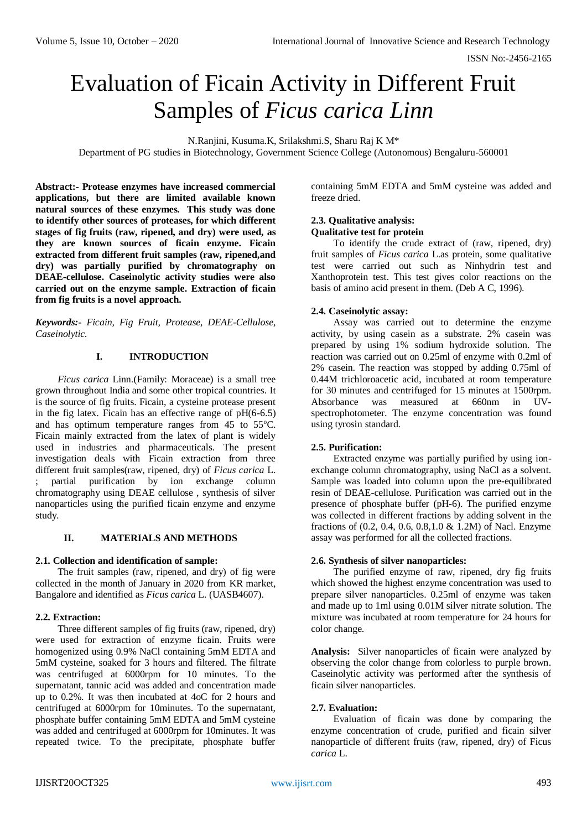ISSN No:-2456-2165

# Evaluation of Ficain Activity in Different Fruit Samples of *Ficus carica Linn*

N.Ranjini, Kusuma.K, Srilakshmi.S, Sharu Raj K M\*

Department of PG studies in Biotechnology, Government Science College (Autonomous) Bengaluru-560001

**Abstract:- Protease enzymes have increased commercial applications, but there are limited available known natural sources of these enzymes. This study was done to identify other sources of proteases, for which different stages of fig fruits (raw, ripened, and dry) were used, as they are known sources of ficain enzyme. Ficain extracted from different fruit samples (raw, ripened,and dry) was partially purified by chromatography on DEAE-cellulose. Caseinolytic activity studies were also carried out on the enzyme sample. Extraction of ficain from fig fruits is a novel approach.**

*Keywords:- Ficain, Fig Fruit, Protease, DEAE-Cellulose, Caseinolytic.*

## **I. INTRODUCTION**

*Ficus carica* Linn.(Family: Moraceae) is a small tree grown throughout India and some other tropical countries. It is the source of fig fruits. Ficain, a cysteine protease present in the fig latex. Ficain has an effective range of pH(6-6.5) and has optimum temperature ranges from  $45$  to  $55^{\circ}$ C. Ficain mainly extracted from the latex of plant is widely used in industries and pharmaceuticals. The present investigation deals with Ficain extraction from three different fruit samples(raw, ripened, dry) of *Ficus carica* L. ; partial purification by ion exchange column chromatography using DEAE cellulose , synthesis of silver nanoparticles using the purified ficain enzyme and enzyme study.

# **II. MATERIALS AND METHODS**

## **2.1. Collection and identification of sample:**

The fruit samples (raw, ripened, and dry) of fig were collected in the month of January in 2020 from KR market, Bangalore and identified as *Ficus carica* L. (UASB4607).

## **2.2. Extraction:**

Three different samples of fig fruits (raw, ripened, dry) were used for extraction of enzyme ficain. Fruits were homogenized using 0.9% NaCl containing 5mM EDTA and 5mM cysteine, soaked for 3 hours and filtered. The filtrate was centrifuged at 6000rpm for 10 minutes. To the supernatant, tannic acid was added and concentration made up to 0.2%. It was then incubated at 4oC for 2 hours and centrifuged at 6000rpm for 10minutes. To the supernatant, phosphate buffer containing 5mM EDTA and 5mM cysteine was added and centrifuged at 6000rpm for 10minutes. It was repeated twice. To the precipitate, phosphate buffer

containing 5mM EDTA and 5mM cysteine was added and freeze dried.

#### **2.3. Qualitative analysis: Qualitative test for protein**

To identify the crude extract of (raw, ripened, dry) fruit samples of *Ficus carica* L.as protein, some qualitative test were carried out such as Ninhydrin test and Xanthoprotein test. This test gives color reactions on the basis of amino acid present in them. (Deb A C, 1996).

## **2.4. Caseinolytic assay:**

Assay was carried out to determine the enzyme activity, by using casein as a substrate. 2% casein was prepared by using 1% sodium hydroxide solution. The reaction was carried out on 0.25ml of enzyme with 0.2ml of 2% casein. The reaction was stopped by adding 0.75ml of 0.44M trichloroacetic acid, incubated at room temperature for 30 minutes and centrifuged for 15 minutes at 1500rpm. Absorbance was measured at 660nm in UVspectrophotometer. The enzyme concentration was found using tyrosin standard.

## **2.5. Purification:**

Extracted enzyme was partially purified by using ionexchange column chromatography, using NaCl as a solvent. Sample was loaded into column upon the pre-equilibrated resin of DEAE-cellulose. Purification was carried out in the presence of phosphate buffer (pH-6). The purified enzyme was collected in different fractions by adding solvent in the fractions of (0.2, 0.4, 0.6, 0.8,1.0 & 1.2M) of Nacl. Enzyme assay was performed for all the collected fractions.

#### **2.6. Synthesis of silver nanoparticles:**

The purified enzyme of raw, ripened, dry fig fruits which showed the highest enzyme concentration was used to prepare silver nanoparticles. 0.25ml of enzyme was taken and made up to 1ml using 0.01M silver nitrate solution. The mixture was incubated at room temperature for 24 hours for color change.

**Analysis:** Silver nanoparticles of ficain were analyzed by observing the color change from colorless to purple brown. Caseinolytic activity was performed after the synthesis of ficain silver nanoparticles.

## **2.7. Evaluation:**

Evaluation of ficain was done by comparing the enzyme concentration of crude, purified and ficain silver nanoparticle of different fruits (raw, ripened, dry) of Ficus *carica* L.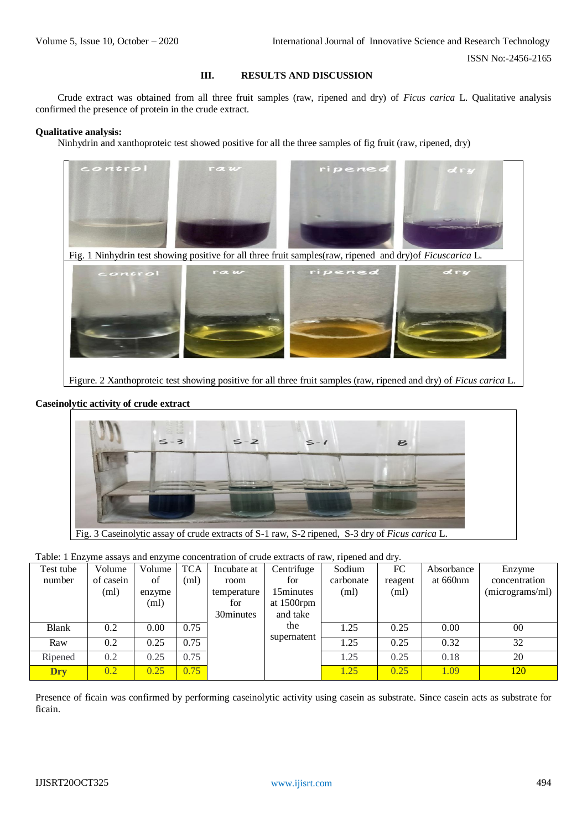ISSN No:-2456-2165

# **III. RESULTS AND DISCUSSION**

Crude extract was obtained from all three fruit samples (raw, ripened and dry) of *Ficus carica* L. Qualitative analysis confirmed the presence of protein in the crude extract.

#### **Qualitative analysis:**

Ninhydrin and xanthoproteic test showed positive for all the three samples of fig fruit (raw, ripened, dry)



Figure. 2 Xanthoproteic test showing positive for all three fruit samples (raw, ripened and dry) of *Ficus carica* L.

## **Caseinolytic activity of crude extract**



|  |  |  | Table: 1 Enzyme assays and enzyme concentration of crude extracts of raw, ripened and dry. |
|--|--|--|--------------------------------------------------------------------------------------------|
|  |  |  |                                                                                            |

| Test tube  | Volume    | Volume | <b>TCA</b> | Incubate at | Centrifuge  | Sodium    | FC      | Absorbance | Enzyme          |
|------------|-----------|--------|------------|-------------|-------------|-----------|---------|------------|-----------------|
| number     | of casein | of     | (ml)       | room        | for         | carbonate | reagent | at 660nm   | concentration   |
|            | (ml)      | enzyme |            | temperature | 15minutes   | (ml)      | (ml)    |            | (micrograms/ml) |
|            |           | (ml)   |            | for         | at 1500rpm  |           |         |            |                 |
|            |           |        |            | 30minutes   | and take    |           |         |            |                 |
| Blank      | 0.2       | 0.00   | 0.75       |             | the         | 1.25      | 0.25    | 0.00       | $00\,$          |
| Raw        | 0.2       | 0.25   | 0.75       |             | supernatent | 1.25      | 0.25    | 0.32       | 32              |
| Ripened    | 0.2       | 0.25   | 0.75       |             |             | 1.25      | 0.25    | 0.18       | 20              |
| <b>Dry</b> | 0.2       | 0.25   | 0.75       |             |             | 1.25      | 0.25    | 1.09       | 120             |

Presence of ficain was confirmed by performing caseinolytic activity using casein as substrate. Since casein acts as substrate for ficain.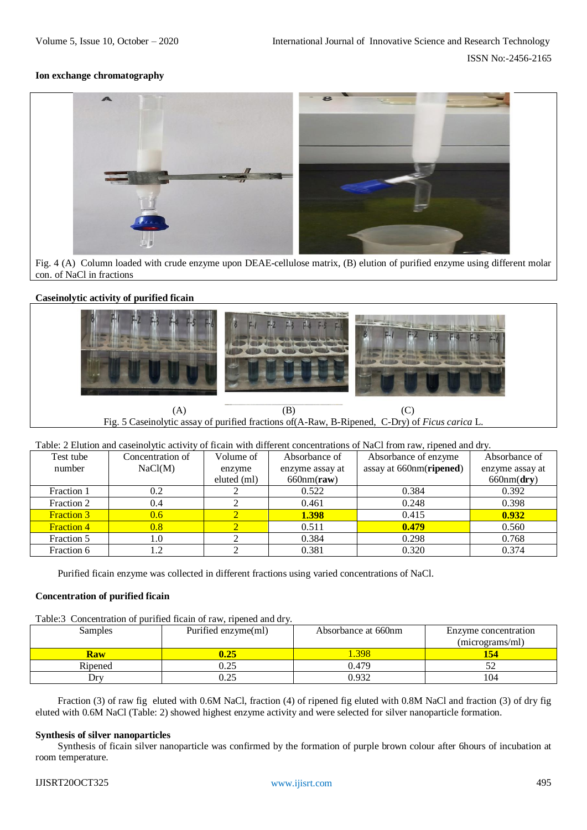#### **Ion exchange chromatography**



Fig. 4 (A) Column loaded with crude enzyme upon DEAE-cellulose matrix, (B) elution of purified enzyme using different molar con. of NaCl in fractions

## **Caseinolytic activity of purified ficain**



(A)  $(B)$  (C) Fig. 5 Caseinolytic assay of purified fractions of(A-Raw, B-Ripened, C-Dry) of *Ficus carica* L.

| Table: 2 Elution and case inolytic activity of ficain with different concentrations of NaCl from raw, ripened and dry. |                  |             |                 |                         |                 |  |
|------------------------------------------------------------------------------------------------------------------------|------------------|-------------|-----------------|-------------------------|-----------------|--|
| Test tube                                                                                                              | Concentration of | Volume of   | Absorbance of   | Absorbance of enzyme    | Absorbance of   |  |
| number                                                                                                                 | NaCl(M)          | enzyme      | enzyme assay at | assay at 660nm(ripened) | enzyme assay at |  |
|                                                                                                                        |                  | eluted (ml) | $660nm$ (raw)   |                         | 660nm(dry)      |  |
| Fraction 1                                                                                                             | 0.2              |             | 0.522           | 0.384                   | 0.392           |  |
| Fraction 2                                                                                                             | 0.4              |             | 0.461           | 0.248                   | 0.398           |  |
| <b>Fraction 3</b>                                                                                                      | $0.6^{\circ}$    |             | 1.398           | 0.415                   | 0.932           |  |
| <b>Fraction 4</b>                                                                                                      | 0.8              |             | 0.511           | 0.479                   | 0.560           |  |
| Fraction 5                                                                                                             | 1.0              |             | 0.384           | 0.298                   | 0.768           |  |
| Fraction 6                                                                                                             | 1.2              |             | 0.381           | 0.320                   | 0.374           |  |

Purified ficain enzyme was collected in different fractions using varied concentrations of NaCl.

## **Concentration of purified ficain**

Table:3 Concentration of purified ficain of raw, ripened and dry.

| Samples    | Purified enzyme(ml) | Absorbance at 660nm | Enzyme concentration |
|------------|---------------------|---------------------|----------------------|
|            |                     |                     | (micrograms/ml)      |
| <b>Raw</b> | 0.25                | .398                |                      |
| Ripened    | 0.25                | 0.479               |                      |
| Drv        | 0.25                | 0.932               | 104                  |

Fraction (3) of raw fig eluted with 0.6M NaCl, fraction (4) of ripened fig eluted with 0.8M NaCl and fraction (3) of dry fig eluted with 0.6M NaCl (Table: 2) showed highest enzyme activity and were selected for silver nanoparticle formation.

#### **Synthesis of silver nanoparticles**

Synthesis of ficain silver nanoparticle was confirmed by the formation of purple brown colour after 6hours of incubation at room temperature.

#### IJISRT20OCT325 [www.ijisrt.com](http://www.ijisrt.com/) 495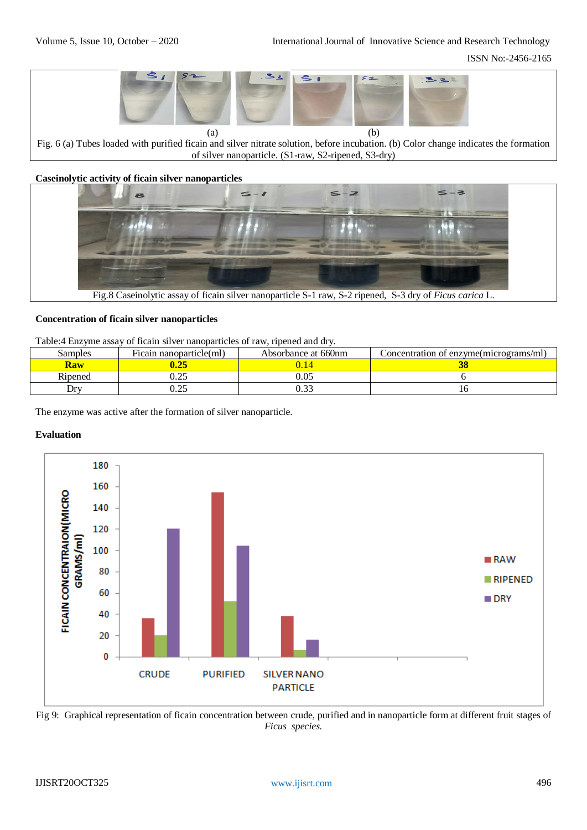

Fig. 6 (a) Tubes loaded with purified ficain and silver nitrate solution, before incubation. (b) Color change indicates the formation of silver nanoparticle. (S1-raw, S2-ripened, S3-dry)

**Caseinolytic activity of ficain silver nanoparticles**



#### **Concentration of ficain silver nanoparticles**

Table:4 Enzyme assay of ficain silver nanoparticles of raw, ripened and dry.

| Samples | Ficain nanoparticle(ml) | Absorbance at 660nm | Concentration of enzyme(micrograms/ml) |
|---------|-------------------------|---------------------|----------------------------------------|
| Kaw     |                         |                     |                                        |
| Ripened | ∪.∠J                    | $0.05\,$            |                                        |
| Drv     | $\sim$<br>∪.∠J          | $\sim$              |                                        |

The enzyme was active after the formation of silver nanoparticle.

# **Evaluation**